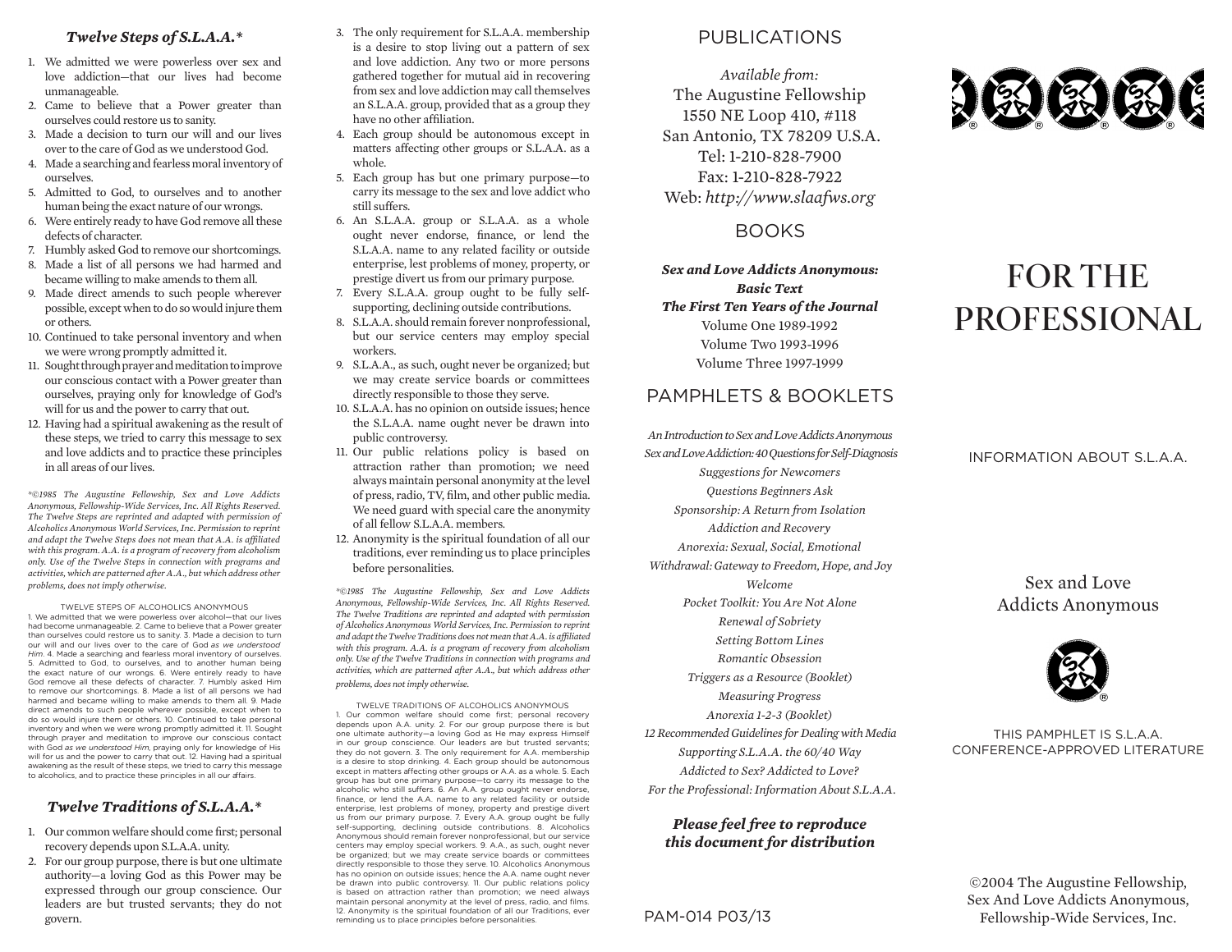#### *Twelve Steps of S.L.A.A.\**

- 1. We admitted we were powerless over sex and love addiction—that our lives had become unmanageable.
- 2. Came to believe that a Power greater than ourselves could restore us to sanity.
- 3. Made a decision to turn our will and our lives over to the care of God as we understood God.
- 4. Made a searching and fearless moral inventory of ourselves.
- 5. Admitted to God, to ourselves and to another human being the exact nature of our wrongs.
- 6. Were entirely ready to have God remove all these defects of character.
- 7. Humbly asked God to remove our shortcomings.
- 8. Made a list of all persons we had harmed and became willing to make amends to them all.
- 9. Made direct amends to such people wherever possible, except when to do so would injure them or others.
- 10. Continued to take personal inventory and when we were wrong promptly admitted it.
- 11. Sought through prayer and meditation to improve our conscious contact with a Power greater than ourselves, praying only for knowledge of God's will for us and the power to carry that out.
- 12. Having had a spiritual awakening as the result of these steps, we tried to carry this message to sex and love addicts and to practice these principles in all areas of our lives.

*\*©1985 The Augustine Fellowship, Sex and Love Addicts Anonymous, Fellowship-Wide Services, Inc. All Rights Reserved. The Twelve Steps are reprinted and adapted with permission of Alcoholics Anonymous World Services, Inc. Permission to reprint and adapt the Twelve Steps does not mean that A.A. is affiliated with this program. A.A. is a program of recovery from alcoholism only. Use of the Twelve Steps in connection with programs and activities, which are patterned after A.A., but which address other problems, does not imply otherwise.*

TWELVE STEPS OF ALCOHOLICS ANONYMOUS 1. We admitted that we were powerless over alcohol—that our lives had become unmanageable. 2. Came to believe that a Power greater than ourselves could restore us to sanity. 3. Made a decision to turn our will and our lives over to the care of God *as we understood Him*. 4. Made a searching and fearless moral inventory of ourselves. 5. Admitted to God, to ourselves, and to another human being the exact nature of our wrongs. 6. Were entirely ready to have God remove all these defects of character. 7. Humbly asked Him to remove our shortcomings. 8. Made a list of all persons we had harmed and became willing to make amends to them all. 9. Made direct amends to such people wherever possible, except when to do so would injure them or others. 10. Continued to take personal inventory and when we were wrong promptly admitted it. 11. Sought through prayer and meditation to improve our conscious contact with God *as we understood Him*, praying only for knowledge of His will for us and the power to carry that out. 12. Having had a spiritual awakening as the result of these steps, we tried to carry this message to alcoholics, and to practice these principles in all our affairs.

#### *Twelve Traditions of S.L.A.A.\**

- 1. Our common welfare should come first; personal recovery depends upon S.L.A.A. unity.
- 2. For our group purpose, there is but one ultimate authority—a loving God as this Power may be expressed through our group conscience. Our leaders are but trusted servants; they do not govern.
- 3. The only requirement for S.L.A.A. membership is a desire to stop living out a pattern of sex and love addiction. Any two or more persons gathered together for mutual aid in recovering from sex and love addiction may call themselves an S.L.A.A. group, provided that as a group they have no other affiliation.
- 4. Each group should be autonomous except in matters affecting other groups or S.L.A.A. as a whole.
- 5. Each group has but one primary purpose—to carry its message to the sex and love addict who still suffers.
- 6. An S.L.A.A. group or S.L.A.A. as a whole ought never endorse, finance, or lend the S.L.A.A. name to any related facility or outside enterprise, lest problems of money, property, or prestige divert us from our primary purpose.
- 7. Every S.L.A.A. group ought to be fully selfsupporting, declining outside contributions.
- 8. S.L.A.A. should remain forever nonprofessional, but our service centers may employ special workers.
- 9. S.L.A.A., as such, ought never be organized; but we may create service boards or committees directly responsible to those they serve.
- 10. S.L.A.A. has no opinion on outside issues; hence the S.L.A.A. name ought never be drawn into public controversy.
- 11. Our public relations policy is based on attraction rather than promotion; we need always maintain personal anonymity at the level of press, radio, TV, film, and other public media. We need guard with special care the anonymity of all fellow S.L.A.A. members.
- 12. Anonymity is the spiritual foundation of all our traditions, ever reminding us to place principles before personalities.

*\*©1985 The Augustine Fellowship, Sex and Love Addicts Anonymous, Fellowship-Wide Services, Inc. All Rights Reserved. The Twelve Traditions are reprinted and adapted with permission of Alcoholics Anonymous World Services, Inc. Permission to reprint and adapt the Twelve Traditions does not mean that A.A. is affiliated*  with this program. A.A. is a program of recovery from alcoholism *only. Use of the Twelve Traditions in connection with programs and activities, which are patterned after A.A., but which address other problems, does not imply otherwise.*

TWELVE TRADITIONS OF ALCOHOLICS ANONYMOUS 1. Our common welfare should come first; personal recovery depends upon A.A. unity. 2. For our group purpose there is but one ultimate authority—a loving God as He may express Himself in our group conscience. Our leaders are but trusted servants; they do not govern. 3. The only requirement for A.A. membership is a desire to stop drinking. 4. Each group should be autonomous except in matters affecting other groups or A.A. as a whole. 5. Each group has but one primary purpose—to carry its message to the alcoholic who still suffers. 6. An A.A. group ought never endorse, finance, or lend the A.A. name to any related facility or outside enterprise, lest problems of money, property and prestige divert us from our primary purpose. 7. Every A.A. group ought be fully self-supporting, declining outside contributions. 8. Alcoholics Anonymous should remain forever nonprofessional, but our service centers may employ special workers. 9. A.A., as such, ought never be organized; but we may create service boards or committees directly responsible to those they serve. 10. Alcoholics Anonymous has no opinion on outside issues; hence the A.A. name ought never be drawn into public controversy. 11. Our public relations policy is based on attraction rather than promotion; we need always maintain personal anonymity at the level of press, radio, and films. 12. Anonymity is the spiritual foundation of all our Traditions, ever reminding us to place principles before personalities.

## PUBLICATIONS

*Available from:* The Augustine Fellowship 1550 NE Loop 410, #118 San Antonio, TX 78209 U.S.A. Tel: 1-210-828-7900 Fax: 1-210-828-7922 Web: *http://www.slaafws.org*

## BOOKS

*Sex and Love Addicts Anonymous: Basic Text The First Ten Years of the Journal* Volume One 1989-1992 Volume Two 1993-1996 Volume Three 1997-1999

#### PAMPHI FTS & BOOKLETS

*An Introduction to Sex and Love Addicts Anonymous Sex and Love Addiction: 40 Questions for Self-Diagnosis Suggestions for Newcomers Questions Beginners Ask Sponsorship: A Return from Isolation Addiction and Recovery Anorexia: Sexual, Social, Emotional Withdrawal: Gateway to Freedom, Hope, and Joy Welcome Pocket Toolkit: You Are Not Alone Renewal of Sobriety Setting Bottom Lines Romantic Obsession Triggers as a Resource (Booklet) Measuring Progress Anorexia 1-2-3 (Booklet) 12 Recommended Guidelines for Dealing with Media Supporting S.L.A.A. the 60/40 Way Addicted to Sex? Addicted to Love? For the Professional: Information About S.L.A.A.*

#### *Please feel free to reproduce this document for distribution*

PAM-014 P03/13



# FOR THE PROFESSIONAL

#### INFORMATION ABOUT S.L.A.A.

Sex and Love Addicts Anonymous



THIS PAMPHLET IS S.L.A.A. CONFERENCE-APPROVED LITERATURE

©2004 The Augustine Fellowship, Sex And Love Addicts Anonymous, Fellowship-Wide Services, Inc.